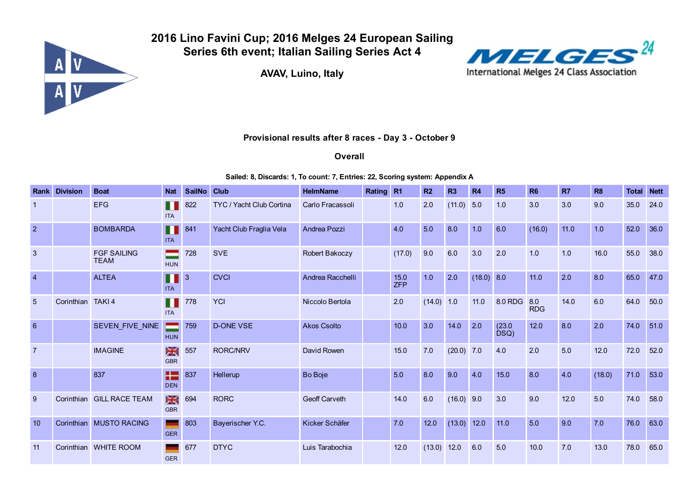

2016 Lino Favini Cup; 2016 Melges 24 European Sailing Series 6th event; Italian Sailing Series Act 4

AVAV, Luino, Italy



## Provisional results after 8 races - Day 3 - October 9

**Overall** 

## Sailed: 8, Discards: 1, To count: 7, Entries: 22, Scoring system: Appendix A

| Rank           | <b>Division</b>   | <b>Boat</b>                       | <b>Nat</b>        | <b>SailNo</b>  | <b>Club</b>              | <b>HelmName</b>      | Rating R1 |               | R <sub>2</sub> | <b>R3</b>    | <b>R4</b>  | R5             | <b>R6</b>         | <b>R7</b> | <b>R8</b> | <b>Total</b> | <b>Nett</b> |
|----------------|-------------------|-----------------------------------|-------------------|----------------|--------------------------|----------------------|-----------|---------------|----------------|--------------|------------|----------------|-------------------|-----------|-----------|--------------|-------------|
|                |                   | <b>EFG</b>                        | Ш<br><b>ITA</b>   | 822            | TYC / Yacht Club Cortina | Carlo Fracassoli     |           | 1.0           | 2.0            | $(11.0)$ 5.0 |            | 1.0            | 3.0               | 3.0       | 9.0       | 35.0         | 24.0        |
| $\overline{2}$ |                   | <b>BOMBARDA</b>                   | П<br><b>ITA</b>   | 841            | Yacht Club Fraglia Vela  | Andrea Pozzi         |           | 4.0           | 5.0            | 8.0          | 1.0        | 6.0            | (16.0)            | 11.0      | 1.0       | 52.0         | 36.0        |
| $\mathbf{3}$   |                   | <b>FGF SAILING</b><br><b>TEAM</b> | <b>HUN</b>        | 728            | <b>SVE</b>               | Robert Bakoczy       |           | (17.0)        | 9.0            | 6.0          | 3.0        | 2.0            | 1.0               | 1.0       | 16.0      | 55.0         | 38.0        |
| $\overline{4}$ |                   | <b>ALTEA</b>                      | П<br><b>ITA</b>   | $\overline{3}$ | <b>CVCI</b>              | Andrea Racchelli     |           | $15.0$<br>ZFP | 1.0            | 2.0          | (18.0) 8.0 |                | 11.0              | 2.0       | 8.0       | 65.0         | 47.0        |
| 5              | Corinthian TAKI 4 |                                   | M<br><b>ITA</b>   | 778            | <b>YCI</b>               | Niccolo Bertola      |           | 2.0           | $(14.0)$ 1.0   |              | 11.0       | 8.0 RDG        | 8.0<br><b>RDG</b> | 14.0      | 6.0       | 64.0         | 50.0        |
| 6              |                   | SEVEN_FIVE_NINE                   | - 1<br><b>HUN</b> | 759            | <b>D-ONE VSE</b>         | <b>Akos Csolto</b>   |           | 10.0          | 3.0            | 14.0         | 2.0        | (23.0)<br>DSQ) | 12.0              | 8.0       | 2.0       | 74.0         | 51.0        |
| $\overline{7}$ |                   | <b>IMAGINE</b>                    | ⋇<br><b>GBR</b>   | 557            | <b>RORC/NRV</b>          | David Rowen          |           | 15.0          | 7.0            | $(20.0)$ 7.0 |            | 4.0            | 2.0               | 5.0       | 12.0      | 72.0         | 52.0        |
| 8              |                   | 837                               | æ<br><b>DEN</b>   | 837            | Hellerup                 | Bo Boje              |           | 5.0           | 8.0            | 9.0          | 4.0        | 15.0           | 8.0               | 4.0       | (18.0)    | 71.0         | 53.0        |
| 9              |                   | Corinthian GILL RACE TEAM         | ⋇<br><b>GBR</b>   | 694            | <b>RORC</b>              | <b>Geoff Carveth</b> |           | 14.0          | 6.0            | $(16.0)$ 9.0 |            | 3.0            | 9.0               | 12.0      | 5.0       | 74.0         | 58.0        |
| 10             |                   | Corinthian MUSTO RACING           | <b>GER</b>        | 803            | Bayerischer Y.C.         | Kicker Schäfer       |           | 7.0           | 12.0           | (13.0) 12.0  |            | 11.0           | 5.0               | 9.0       | 7.0       | 76.0         | 63.0        |
| 11             |                   | Corinthian WHITE ROOM             | <b>GER</b>        | 677            | <b>DTYC</b>              | Luis Tarabochia      |           | 12.0          | (13.0)         | $12.0$       | 6.0        | 5.0            | 10.0              | 7.0       | 13.0      | 78.0         | 65.0        |